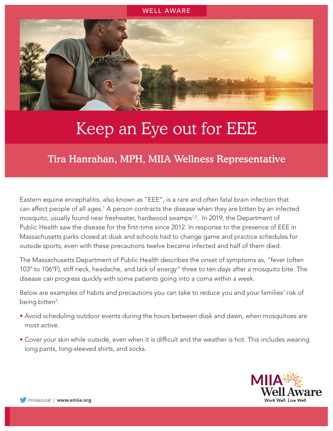

## Keep an Eye out for EEE

Tira Hanrahan, MPH, MIIA Wellness Representative

Eastern equine encephalitis, also known as "EEE", is a rare and often fatal brain infection that can affect people of all ages.<sup>1</sup> A person contracts the disease when they are bitten by an infected mosquito, usually found near freshwater, hardwood swamps<sup>1,2</sup>. In 2019, the Department of Public Health saw the disease for the first-time since 2012. In response to the presence of EEE in Massachusetts parks closed at dusk and schools had to change game and practice schedules for outside sports; even with these precautions twelve became infected and half of them died.

The Massachusetts Department of Public Health describes the onset of symptoms as, "fever (often 103º to 106ºF), stiff neck, headache, and lack of energy" three to ten days after a mosquito bite. The disease can progress quickly with some patients going into a coma within a week.

Below are examples of habits and precautions you can take to reduce you and your families' risk of being bitten<sup>2</sup>:

- Avoid scheduling outdoor events during the hours between dusk and dawn, when mosquitoes are most active.
- Cover your skin while outside, even when it is difficult and the weather is hot. This includes wearing long pants, long-sleeved shirts, and socks.